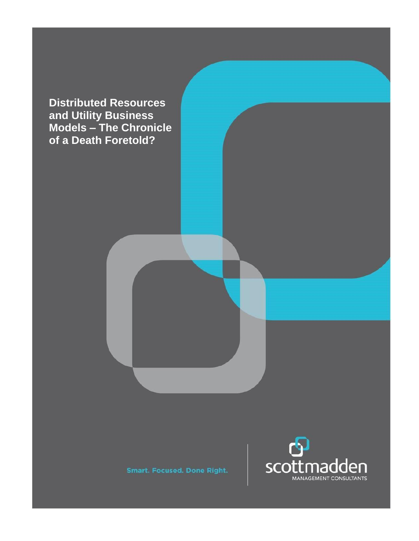**Distributed Resources and Utility Business Models – The Chronicle of a Death Foretold?**



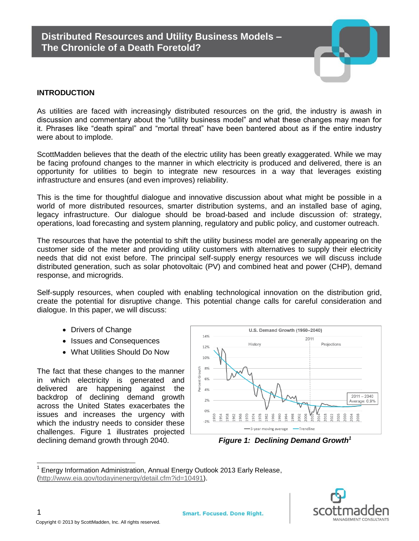

### **INTRODUCTION**

As utilities are faced with increasingly distributed resources on the grid, the industry is awash in discussion and commentary about the "utility business model" and what these changes may mean for it. Phrases like "death spiral" and "mortal threat" have been bantered about as if the entire industry were about to implode.

ScottMadden believes that the death of the electric utility has been greatly exaggerated. While we may be facing profound changes to the manner in which electricity is produced and delivered, there is an opportunity for utilities to begin to integrate new resources in a way that leverages existing infrastructure and ensures (and even improves) reliability.

This is the time for thoughtful dialogue and innovative discussion about what might be possible in a world of more distributed resources, smarter distribution systems, and an installed base of aging, legacy infrastructure. Our dialogue should be broad-based and include discussion of: strategy, operations, load forecasting and system planning, regulatory and public policy, and customer outreach.

The resources that have the potential to shift the utility business model are generally appearing on the customer side of the meter and providing utility customers with alternatives to supply their electricity needs that did not exist before. The principal self-supply energy resources we will discuss include distributed generation, such as solar photovoltaic (PV) and combined heat and power (CHP), demand response, and microgrids.

Self-supply resources, when coupled with enabling technological innovation on the distribution grid, create the potential for disruptive change. This potential change calls for careful consideration and dialogue. In this paper, we will discuss:

- Drivers of Change
- Issues and Consequences
- What Utilities Should Do Now

The fact that these changes to the manner in which electricity is generated and delivered are happening against the backdrop of declining demand growth across the United States exacerbates the issues and increases the urgency with which the industry needs to consider these challenges. Figure 1 illustrates projected declining demand growth through 2040. *Figure 1: Declining Demand Growth<sup>1</sup>*



<sup>1</sup> Energy Information Administration, Annual Energy Outlook 2013 Early Release, [\(http://www.eia.gov/todayinenergy/detail.cfm?id=10491\)](http://www.eia.gov/todayinenergy/detail.cfm?id=10491).

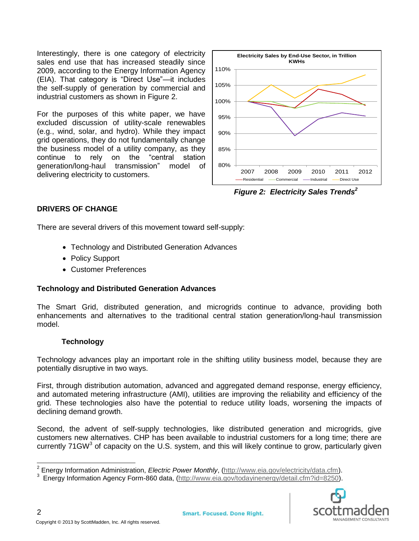Interestingly, there is one category of electricity sales end use that has increased steadily since 2009, according to the Energy Information Agency (EIA). That category is "Direct Use"—it includes the self-supply of generation by commercial and industrial customers as shown in Figure 2.

For the purposes of this white paper, we have excluded discussion of utility-scale renewables (e.g., wind, solar, and hydro). While they impact grid operations, they do not fundamentally change the business model of a utility company, as they continue to rely on the "central station generation/long-haul transmission" model of delivering electricity to customers.



*Figure 2: Electricity Sales Trends<sup>2</sup>*

## **DRIVERS OF CHANGE**

There are several drivers of this movement toward self-supply:

- Technology and Distributed Generation Advances
- Policy Support
- Customer Preferences

## **Technology and Distributed Generation Advances**

The Smart Grid, distributed generation, and microgrids continue to advance, providing both enhancements and alternatives to the traditional central station generation/long-haul transmission model.

# **Technology**

Technology advances play an important role in the shifting utility business model, because they are potentially disruptive in two ways.

First, through distribution automation, advanced and aggregated demand response, energy efficiency, and automated metering infrastructure (AMI), utilities are improving the reliability and efficiency of the grid. These technologies also have the potential to reduce utility loads, worsening the impacts of declining demand growth.

Second, the advent of self-supply technologies, like distributed generation and microgrids, give customers new alternatives. CHP has been available to industrial customers for a long time; there are currently 71 GW<sup>3</sup> of capacity on the U.S. system, and this will likely continue to grow, particularly given

<sup>&</sup>lt;sup>3</sup> Energy Information Agency Form-860 data, [\(http://www.eia.gov/todayinenergy/detail.cfm?id=8250\)](http://www.eia.gov/todayinenergy/detail.cfm?id=8250).



 2 Energy Information Administration, *Electric Power Monthly*, [\(http://www.eia.gov/electricity/data.cfm\)](http://www.eia.gov/electricity/data.cfm).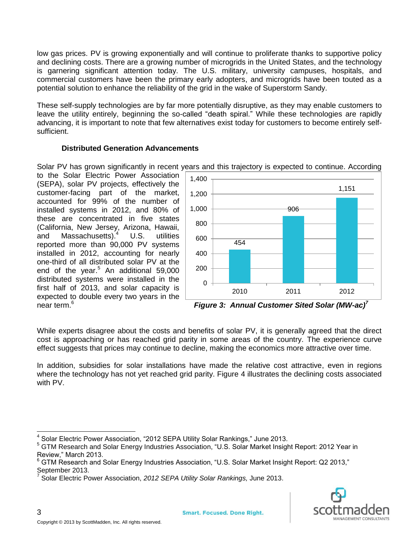low gas prices. PV is growing exponentially and will continue to proliferate thanks to supportive policy and declining costs. There are a growing number of microgrids in the United States, and the technology is garnering significant attention today. The U.S. military, university campuses, hospitals, and commercial customers have been the primary early adopters, and microgrids have been touted as a potential solution to enhance the reliability of the grid in the wake of Superstorm Sandy.

These self-supply technologies are by far more potentially disruptive, as they may enable customers to leave the utility entirely, beginning the so-called "death spiral." While these technologies are rapidly advancing, it is important to note that few alternatives exist today for customers to become entirely selfsufficient.

## **Distributed Generation Advancements**

Solar PV has grown significantly in recent years and this trajectory is expected to continue. According

to the Solar Electric Power Association (SEPA), solar PV projects, effectively the customer-facing part of the market, accounted for 99% of the number of installed systems in 2012, and 80% of these are concentrated in five states (California, New Jersey, Arizona, Hawaii, and Massachusetts).<sup>4</sup> U.S. utilities reported more than 90,000 PV systems installed in 2012, accounting for nearly one-third of all distributed solar PV at the end of the year.<sup>5</sup> An additional 59,000 distributed systems were installed in the first half of 2013, and solar capacity is expected to double every two years in the near term.<sup>6</sup>



*Figure* 3: Annual Customer Sited Solar (MW-ac)<sup>7</sup>

While experts disagree about the costs and benefits of solar PV, it is generally agreed that the direct cost is approaching or has reached grid parity in some areas of the country. The experience curve effect suggests that prices may continue to decline, making the economics more attractive over time.

In addition, subsidies for solar installations have made the relative cost attractive, even in regions where the technology has not yet reached grid parity. Figure 4 illustrates the declining costs associated with PV.

<sup>7</sup> Solar Electric Power Association, *2012 SEPA Utility Solar Rankings,* June 2013.



 $\overline{\phantom{a}}$ 4 Solar Electric Power Association, "2012 SEPA Utility Solar Rankings," June 2013.

<sup>5</sup> GTM Research and Solar Energy Industries Association, "U.S. Solar Market Insight Report: 2012 Year in Review," March 2013.

 $6$  GTM Research and Solar Energy Industries Association, "U.S. Solar Market Insight Report: Q2 2013," September 2013.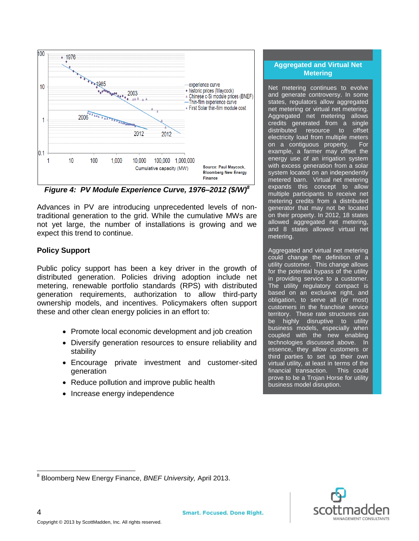

*Figure 4: PV Module Experience Curve, 1976–2012 (\$/W)<sup>8</sup>*

Advances in PV are introducing unprecedented levels of nontraditional generation to the grid. While the cumulative MWs are not yet large, the number of installations is growing and we expect this trend to continue.

## **Policy Support**

Public policy support has been a key driver in the growth of distributed generation. Policies driving adoption include net metering, renewable portfolio standards (RPS) with distributed generation requirements, authorization to allow third-party ownership models, and incentives. Policymakers often support these and other clean energy policies in an effort to:

- Promote local economic development and job creation
- Diversify generation resources to ensure reliability and stability
- Encourage private investment and customer-sited generation
- Reduce pollution and improve public health
- Increase energy independence

## **Aggregated and Virtual Net Metering**

Net metering continues to evolve and generate controversy. In some states, regulators allow aggregated net metering or virtual net metering. Aggregated net metering allows credits generated from a single distributed resource to offset electricity load from multiple meters on a contiguous property. For example, a farmer may offset the energy use of an irrigation system with excess generation from a solar system located on an independently metered barn. Virtual net metering expands this concept to allow multiple participants to receive net metering credits from a distributed generator that may not be located on their property. In 2012, 18 states allowed aggregated net metering, and 8 states allowed virtual net metering.

Aggregated and virtual net metering could change the definition of a utility customer. This change allows for the potential bypass of the utility in providing service to a customer. The utility regulatory compact is based on an exclusive right, and obligation, to serve all (or most) customers in the franchise service territory. These rate structures can be highly disruptive to utility business models, especially when coupled with the new enabling technologies discussed above. In essence, they allow customers or third parties to set up their own virtual utility, at least in terms of the financial transaction. This could prove to be a Trojan Horse for utility business model disruption.

 $\overline{\phantom{a}}$ 

nagg **MANAGEMENT CONSULTANTS** 

<sup>8</sup> Bloomberg New Energy Finance, *BNEF University,* April 2013.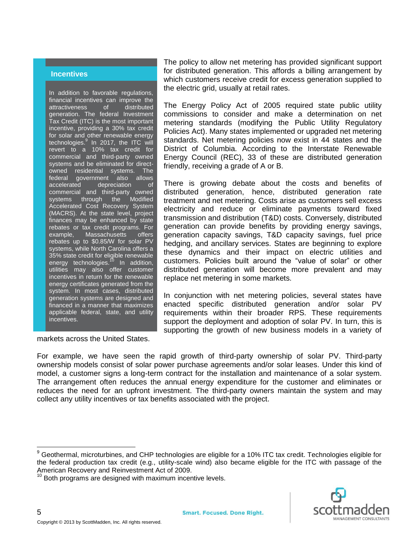#### **Incentives**

In addition to favorable regulations, financial incentives can improve the attractiveness of distributed generation. The federal Investment Tax Credit (ITC) is the most important incentive, providing a 30% tax credit for solar and other renewable energy technologies.<sup>9</sup> In 2017, the ITC will revert to a 10% tax credit for commercial and third-party owned systems and be eliminated for directowned residential systems. The federal government also allows accelerated depreciation of commercial and third-party owned systems through the Modified Accelerated Cost Recovery System (MACRS). At the state level, project finances may be enhanced by state rebates or tax credit programs. For<br>example, Massachusetts offers Massachusetts offers rebates up to \$0.85/W for solar PV systems, while North Carolina offers a 35% state credit for eligible renewable energy technologies.<sup>10</sup> In addition, utilities may also offer customer incentives in return for the renewable energy certificates generated from the system. In most cases, distributed generation systems are designed and financed in a manner that maximizes applicable federal, state, and utility incentives.

The policy to allow net metering has provided significant support for distributed generation. This affords a billing arrangement by which customers receive credit for excess generation supplied to the electric grid, usually at retail rates.

The Energy Policy Act of 2005 required state public utility commissions to consider and make a determination on net metering standards (modifying the Public Utility Regulatory Policies Act). Many states implemented or upgraded net metering standards. Net metering policies now exist in 44 states and the District of Columbia. According to the Interstate Renewable Energy Council (REC), 33 of these are distributed generation friendly, receiving a grade of A or B.

There is growing debate about the costs and benefits of distributed generation, hence, distributed generation rate treatment and net metering. Costs arise as customers sell excess electricity and reduce or eliminate payments toward fixed transmission and distribution (T&D) costs. Conversely, distributed generation can provide benefits by providing energy savings, generation capacity savings, T&D capacity savings, fuel price hedging, and ancillary services. States are beginning to explore these dynamics and their impact on electric utilities and customers. Policies built around the "value of solar" or other distributed generation will become more prevalent and may replace net metering in some markets.

In conjunction with net metering policies, several states have enacted specific distributed generation and/or solar PV requirements within their broader RPS. These requirements support the deployment and adoption of solar PV. In turn, this is supporting the growth of new business models in a variety of

markets across the United States.

For example, we have seen the rapid growth of third-party ownership of solar PV. Third-party ownership models consist of solar power purchase agreements and/or solar leases. Under this kind of model, a customer signs a long-term contract for the installation and maintenance of a solar system. The arrangement often reduces the annual energy expenditure for the customer and eliminates or reduces the need for an upfront investment. The third-party owners maintain the system and may collect any utility incentives or tax benefits associated with the project.



 $\overline{a}$ 

<sup>9</sup> Geothermal, microturbines, and CHP technologies are eligible for a 10% ITC tax credit. Technologies eligible for the federal production tax credit (e.g., utility-scale wind) also became eligible for the ITC with passage of the American Recovery and Reinvestment Act of 2009.

 $10$  Both programs are designed with maximum incentive levels.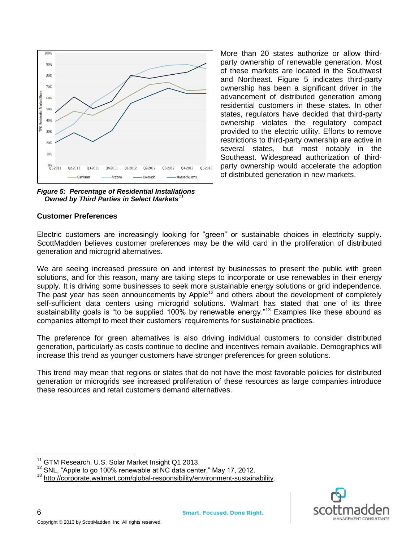

*Figure 5: Percentage of Residential Installations Owned by Third Parties in Select Markets<sup>11</sup>*

#### **Customer Preferences**

More than 20 states authorize or allow thirdparty ownership of renewable generation. Most of these markets are located in the Southwest and Northeast. Figure 5 indicates third-party ownership has been a significant driver in the advancement of distributed generation among residential customers in these states. In other states, regulators have decided that third-party ownership violates the regulatory compact provided to the electric utility. Efforts to remove restrictions to third-party ownership are active in several states, but most notably in the Southeast. Widespread authorization of thirdparty ownership would accelerate the adoption of distributed generation in new markets.

Electric customers are increasingly looking for "green" or sustainable choices in electricity supply. ScottMadden believes customer preferences may be the wild card in the proliferation of distributed generation and microgrid alternatives.

We are seeing increased pressure on and interest by businesses to present the public with green solutions, and for this reason, many are taking steps to incorporate or use renewables in their energy supply. It is driving some businesses to seek more sustainable energy solutions or grid independence. The past year has seen announcements by Apple<sup>12</sup> and others about the development of completely self-sufficient data centers using microgrid solutions. Walmart has stated that one of its three sustainability goals is "to be supplied 100% by renewable energy."<sup>13</sup> Examples like these abound as companies attempt to meet their customers' requirements for sustainable practices.

The preference for green alternatives is also driving individual customers to consider distributed generation, particularly as costs continue to decline and incentives remain available. Demographics will increase this trend as younger customers have stronger preferences for green solutions.

This trend may mean that regions or states that do not have the most favorable policies for distributed generation or microgrids see increased proliferation of these resources as large companies introduce these resources and retail customers demand alternatives.



6

GTM Research, U.S. Solar Market Insight Q1 2013.

<sup>&</sup>lt;sup>12</sup> SNL, "Apple to go 100% renewable at NC data center," May 17, 2012.

<sup>13</sup> [http://corporate.walmart.com/global-responsibility/environment-sustainability.](http://corporate.walmart.com/global-responsibility/environment-sustainability)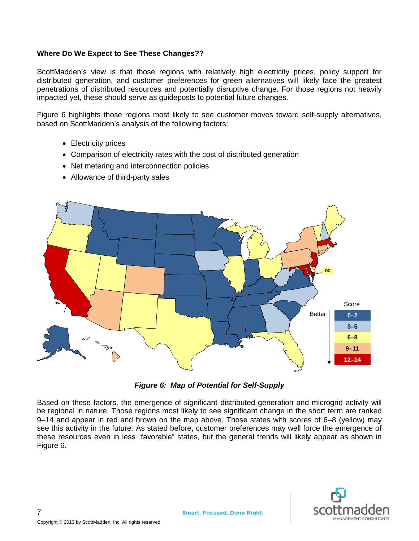#### **Where Do We Expect to See These Changes??**

ScottMadden's view is that those regions with relatively high electricity prices, policy support for distributed generation, and customer preferences for green alternatives will likely face the greatest penetrations of distributed resources and potentially disruptive change. For those regions not heavily impacted yet, these should serve as guideposts to potential future changes.

Figure 6 highlights those regions most likely to see customer moves toward self-supply alternatives, based on ScottMadden's analysis of the following factors:

- Electricity prices
- Comparison of electricity rates with the cost of distributed generation
- Net metering and interconnection policies
- Allowance of third-party sales





Based on these factors, the emergence of significant distributed generation and microgrid activity will be regional in nature. Those regions most likely to see significant change in the short term are ranked 9–14 and appear in red and brown on the map above. Those states with scores of 6–8 (yellow) may see this activity in the future. As stated before, customer preferences may well force the emergence of these resources even in less "favorable" states, but the general trends will likely appear as shown in Figure 6.

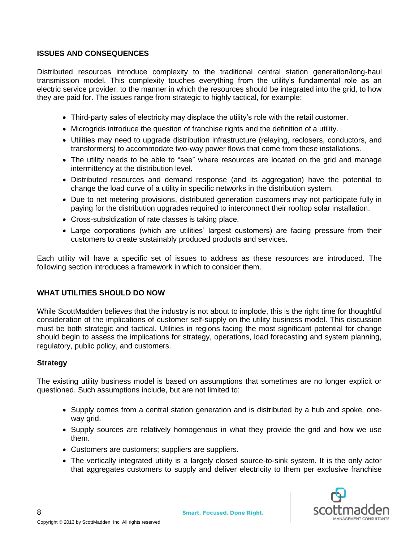### **ISSUES AND CONSEQUENCES**

Distributed resources introduce complexity to the traditional central station generation/long-haul transmission model. This complexity touches everything from the utility's fundamental role as an electric service provider, to the manner in which the resources should be integrated into the grid, to how they are paid for. The issues range from strategic to highly tactical, for example:

- Third-party sales of electricity may displace the utility's role with the retail customer.
- Microgrids introduce the question of franchise rights and the definition of a utility.
- Utilities may need to upgrade distribution infrastructure (relaying, reclosers, conductors, and transformers) to accommodate two-way power flows that come from these installations.
- The utility needs to be able to "see" where resources are located on the grid and manage intermittency at the distribution level.
- Distributed resources and demand response (and its aggregation) have the potential to change the load curve of a utility in specific networks in the distribution system.
- Due to net metering provisions, distributed generation customers may not participate fully in paying for the distribution upgrades required to interconnect their rooftop solar installation.
- Cross-subsidization of rate classes is taking place.
- Large corporations (which are utilities' largest customers) are facing pressure from their customers to create sustainably produced products and services.

Each utility will have a specific set of issues to address as these resources are introduced. The following section introduces a framework in which to consider them.

## **WHAT UTILITIES SHOULD DO NOW**

While ScottMadden believes that the industry is not about to implode, this is the right time for thoughtful consideration of the implications of customer self-supply on the utility business model. This discussion must be both strategic and tactical. Utilities in regions facing the most significant potential for change should begin to assess the implications for strategy, operations, load forecasting and system planning, regulatory, public policy, and customers.

#### **Strategy**

The existing utility business model is based on assumptions that sometimes are no longer explicit or questioned. Such assumptions include, but are not limited to:

- Supply comes from a central station generation and is distributed by a hub and spoke, oneway grid.
- Supply sources are relatively homogenous in what they provide the grid and how we use them.
- Customers are customers; suppliers are suppliers.
- The vertically integrated utility is a largely closed source-to-sink system. It is the only actor that aggregates customers to supply and deliver electricity to them per exclusive franchise

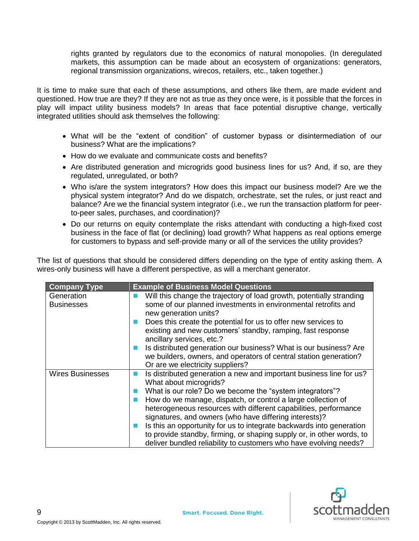rights granted by regulators due to the economics of natural monopolies. (In deregulated markets, this assumption can be made about an ecosystem of organizations: generators, regional transmission organizations, wirecos, retailers, etc., taken together.)

It is time to make sure that each of these assumptions, and others like them, are made evident and questioned. How true are they? If they are not as true as they once were, is it possible that the forces in play will impact utility business models? In areas that face potential disruptive change, vertically integrated utilities should ask themselves the following:

- What will be the "extent of condition" of customer bypass or disintermediation of our business? What are the implications?
- How do we evaluate and communicate costs and benefits?
- Are distributed generation and microgrids good business lines for us? And, if so, are they regulated, unregulated, or both?
- Who is/are the system integrators? How does this impact our business model? Are we the physical system integrator? And do we dispatch, orchestrate, set the rules, or just react and balance? Are we the financial system integrator (i.e., we run the transaction platform for peerto-peer sales, purchases, and coordination)?
- Do our returns on equity contemplate the risks attendant with conducting a high-fixed cost business in the face of flat (or declining) load growth? What happens as real options emerge for customers to bypass and self-provide many or all of the services the utility provides?

The list of questions that should be considered differs depending on the type of entity asking them. A wires-only business will have a different perspective, as will a merchant generator.

| <b>Company Type</b>             | <b>Example of Business Model Questions</b>                                                                                                                                                                                                                                                                                                                                                                                                                                                                                                                                    |
|---------------------------------|-------------------------------------------------------------------------------------------------------------------------------------------------------------------------------------------------------------------------------------------------------------------------------------------------------------------------------------------------------------------------------------------------------------------------------------------------------------------------------------------------------------------------------------------------------------------------------|
| Generation<br><b>Businesses</b> | Will this change the trajectory of load growth, potentially stranding<br>some of our planned investments in environmental retrofits and<br>new generation units?<br>Does this create the potential for us to offer new services to<br>existing and new customers' standby, ramping, fast response<br>ancillary services, etc.?                                                                                                                                                                                                                                                |
|                                 | Is distributed generation our business? What is our business? Are<br>we builders, owners, and operators of central station generation?<br>Or are we electricity suppliers?                                                                                                                                                                                                                                                                                                                                                                                                    |
| <b>Wires Businesses</b>         | Is distributed generation a new and important business line for us?<br>What about microgrids?<br>What is our role? Do we become the "system integrators"?<br>How do we manage, dispatch, or control a large collection of<br>heterogeneous resources with different capabilities, performance<br>signatures, and owners (who have differing interests)?<br>Is this an opportunity for us to integrate backwards into generation<br>to provide standby, firming, or shaping supply or, in other words, to<br>deliver bundled reliability to customers who have evolving needs? |

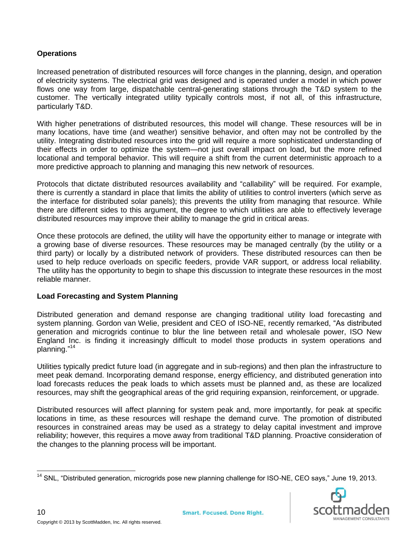### **Operations**

Increased penetration of distributed resources will force changes in the planning, design, and operation of electricity systems. The electrical grid was designed and is operated under a model in which power flows one way from large, dispatchable central-generating stations through the T&D system to the customer. The vertically integrated utility typically controls most, if not all, of this infrastructure, particularly T&D.

With higher penetrations of distributed resources, this model will change. These resources will be in many locations, have time (and weather) sensitive behavior, and often may not be controlled by the utility. Integrating distributed resources into the grid will require a more sophisticated understanding of their effects in order to optimize the system—not just overall impact on load, but the more refined locational and temporal behavior. This will require a shift from the current deterministic approach to a more predictive approach to planning and managing this new network of resources.

Protocols that dictate distributed resources availability and "callability" will be required. For example, there is currently a standard in place that limits the ability of utilities to control inverters (which serve as the interface for distributed solar panels); this prevents the utility from managing that resource. While there are different sides to this argument, the degree to which utilities are able to effectively leverage distributed resources may improve their ability to manage the grid in critical areas.

Once these protocols are defined, the utility will have the opportunity either to manage or integrate with a growing base of diverse resources. These resources may be managed centrally (by the utility or a third party) or locally by a distributed network of providers. These distributed resources can then be used to help reduce overloads on specific feeders, provide VAR support, or address local reliability. The utility has the opportunity to begin to shape this discussion to integrate these resources in the most reliable manner.

#### **Load Forecasting and System Planning**

Distributed generation and demand response are changing traditional utility load forecasting and system planning. Gordon van Welie, president and CEO of ISO-NE, recently remarked, "As distributed generation and microgrids continue to blur the line between retail and wholesale power, ISO New England Inc. is finding it increasingly difficult to model those products in system operations and planning." 14

Utilities typically predict future load (in aggregate and in sub-regions) and then plan the infrastructure to meet peak demand. Incorporating demand response, energy efficiency, and distributed generation into load forecasts reduces the peak loads to which assets must be planned and, as these are localized resources, may shift the geographical areas of the grid requiring expansion, reinforcement, or upgrade.

Distributed resources will affect planning for system peak and, more importantly, for peak at specific locations in time, as these resources will reshape the demand curve. The promotion of distributed resources in constrained areas may be used as a strategy to delay capital investment and improve reliability; however, this requires a move away from traditional T&D planning. Proactive consideration of the changes to the planning process will be important.

 $\overline{\phantom{a}}$ <sup>14</sup> SNL, "Distributed generation, microgrids pose new planning challenge for ISO-NE, CEO says," June 19, 2013.

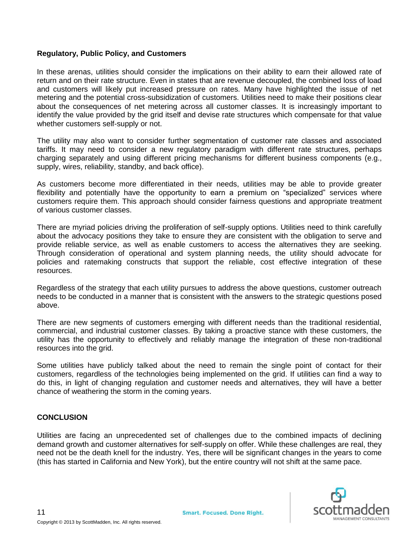#### **Regulatory, Public Policy, and Customers**

In these arenas, utilities should consider the implications on their ability to earn their allowed rate of return and on their rate structure. Even in states that are revenue decoupled, the combined loss of load and customers will likely put increased pressure on rates. Many have highlighted the issue of net metering and the potential cross-subsidization of customers. Utilities need to make their positions clear about the consequences of net metering across all customer classes. It is increasingly important to identify the value provided by the grid itself and devise rate structures which compensate for that value whether customers self-supply or not.

The utility may also want to consider further segmentation of customer rate classes and associated tariffs. It may need to consider a new regulatory paradigm with different rate structures, perhaps charging separately and using different pricing mechanisms for different business components (e.g., supply, wires, reliability, standby, and back office).

As customers become more differentiated in their needs, utilities may be able to provide greater flexibility and potentially have the opportunity to earn a premium on "specialized" services where customers require them. This approach should consider fairness questions and appropriate treatment of various customer classes.

There are myriad policies driving the proliferation of self-supply options. Utilities need to think carefully about the advocacy positions they take to ensure they are consistent with the obligation to serve and provide reliable service, as well as enable customers to access the alternatives they are seeking. Through consideration of operational and system planning needs, the utility should advocate for policies and ratemaking constructs that support the reliable, cost effective integration of these resources.

Regardless of the strategy that each utility pursues to address the above questions, customer outreach needs to be conducted in a manner that is consistent with the answers to the strategic questions posed above.

There are new segments of customers emerging with different needs than the traditional residential, commercial, and industrial customer classes. By taking a proactive stance with these customers, the utility has the opportunity to effectively and reliably manage the integration of these non-traditional resources into the grid.

Some utilities have publicly talked about the need to remain the single point of contact for their customers, regardless of the technologies being implemented on the grid. If utilities can find a way to do this, in light of changing regulation and customer needs and alternatives, they will have a better chance of weathering the storm in the coming years.

#### **CONCLUSION**

11

Utilities are facing an unprecedented set of challenges due to the combined impacts of declining demand growth and customer alternatives for self-supply on offer. While these challenges are real, they need not be the death knell for the industry. Yes, there will be significant changes in the years to come (this has started in California and New York), but the entire country will not shift at the same pace.